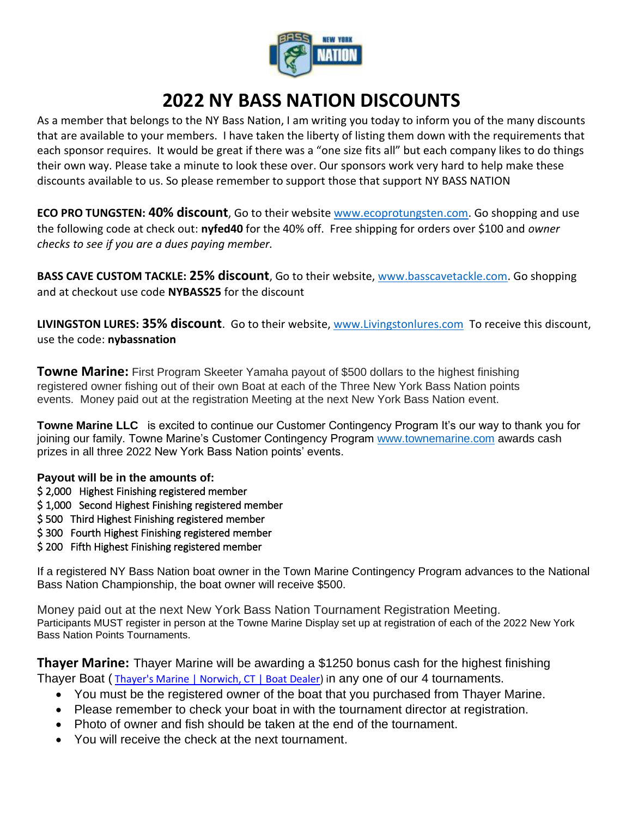

## **2022 NY BASS NATION DISCOUNTS**

As a member that belongs to the NY Bass Nation, I am writing you today to inform you of the many discounts that are available to your members. I have taken the liberty of listing them down with the requirements that each sponsor requires. It would be great if there was a "one size fits all" but each company likes to do things their own way. Please take a minute to look these over. Our sponsors work very hard to help make these discounts available to us. So please remember to support those that support NY BASS NATION

**ECO PRO TUNGSTEN: 40% discount**, Go to their website [www.ecoprotungsten.com.](http://www.ecoprotungsten.com/) Go shopping and use the following code at check out: **nyfed40** for the 40% off. Free shipping for orders over \$100 and *owner checks to see if you are a dues paying member.*

**BASS CAVE CUSTOM TACKLE: 25% discount**, Go to their website, [www.basscavetackle.com.](http://www.basscavetackle.com/) Go shopping and at checkout use code **NYBASS25** for the discount

**LIVINGSTON LURES: 35% discount**. Go to their website, [www.Livingstonlures.com](http://www.livingstonlures.com/) To receive this discount, use the code: **nybassnation**

**Towne Marine:** First Program Skeeter Yamaha payout of \$500 dollars to the highest finishing registered owner fishing out of their own Boat at each of the Three New York Bass Nation points events. Money paid out at the registration Meeting at the next New York Bass Nation event.

**Towne Marine LLC** is excited to continue our Customer Contingency Program It's our way to thank you for joining our family. Towne Marine's Customer Contingency Program [www.townemarine.com](http://www.townemarine.com/) awards cash prizes in all three 2022 New York Bass Nation points' events.

## **Payout will be in the amounts of:**

- \$ 2,000 Highest Finishing registered member
- \$ 1,000 Second Highest Finishing registered member
- \$ 500 Third Highest Finishing registered member
- \$ 300 Fourth Highest Finishing registered member
- \$ 200 Fifth Highest Finishing registered member

If a registered NY Bass Nation boat owner in the Town Marine Contingency Program advances to the National Bass Nation Championship, the boat owner will receive \$500.

Money paid out at the next New York Bass Nation Tournament Registration Meeting. Participants MUST register in person at the Towne Marine Display set up at registration of each of the 2022 New York Bass Nation Points Tournaments.

**Thayer Marine:** Thayer Marine will be awarding a \$1250 bonus cash for the highest finishing Thayer Boat ([Thayer's Marine | Norwich, CT | Boat Dealer\)](https://www.thayersmarine.com/) in any one of our 4 tournaments.

- You must be the registered owner of the boat that you purchased from Thayer Marine.
- Please remember to check your boat in with the tournament director at registration.
- Photo of owner and fish should be taken at the end of the tournament.
- You will receive the check at the next tournament.